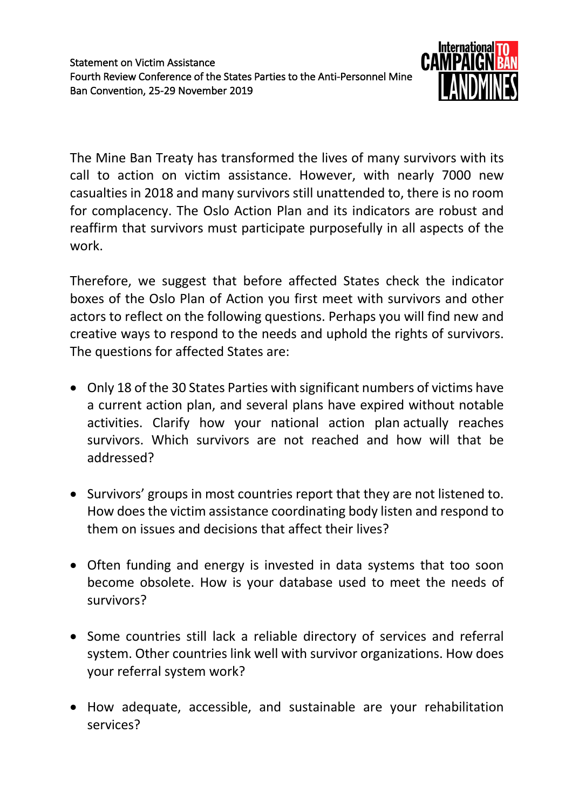

The Mine Ban Treaty has transformed the lives of many survivors with its call to action on victim assistance. However, with nearly 7000 new casualties in 2018 and many survivors still unattended to, there is no room for complacency. The Oslo Action Plan and its indicators are robust and reaffirm that survivors must participate purposefully in all aspects of the work.

Therefore, we suggest that before affected States check the indicator boxes of the Oslo Plan of Action you first meet with survivors and other actors to reflect on the following questions. Perhaps you will find new and creative ways to respond to the needs and uphold the rights of survivors. The questions for affected States are:

- Only 18 of the 30 States Parties with significant numbers of victims have a current action plan, and several plans have expired without notable activities. Clarify how your national action plan actually reaches survivors. Which survivors are not reached and how will that be addressed?
- Survivors' groups in most countries report that they are not listened to. How does the victim assistance coordinating body listen and respond to them on issues and decisions that affect their lives?
- Often funding and energy is invested in data systems that too soon become obsolete. How is your database used to meet the needs of survivors?
- Some countries still lack a reliable directory of services and referral system. Other countries link well with survivor organizations. How does your referral system work?
- How adequate, accessible, and sustainable are your rehabilitation services?